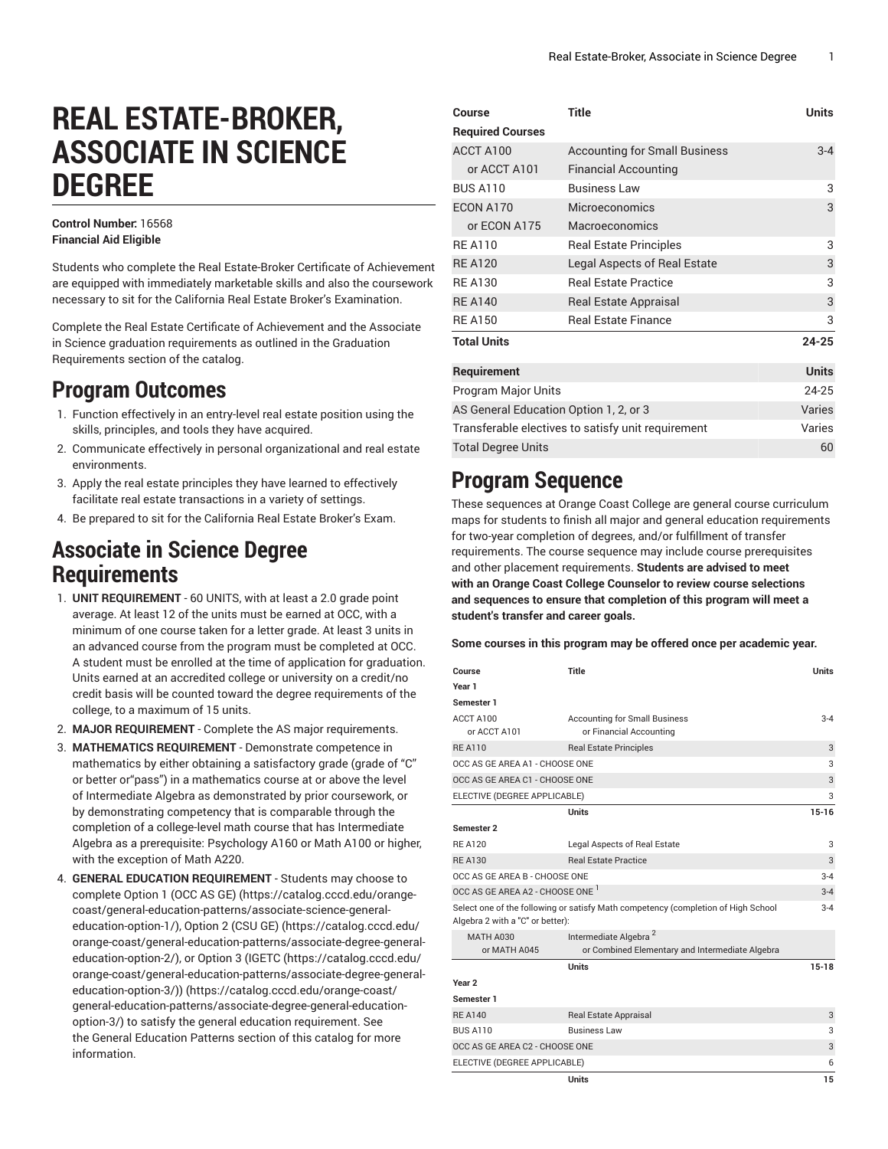# **REAL ESTATE-BROKER, ASSOCIATE IN SCIENCE DEGREE**

#### **Control Number:** 16568 **Financial Aid Eligible**

Students who complete the Real Estate-Broker Certificate of Achievement are equipped with immediately marketable skills and also the coursework necessary to sit for the California Real Estate Broker's Examination.

Complete the Real Estate Certificate of Achievement and the Associate in Science graduation requirements as outlined in the Graduation Requirements section of the catalog.

# **Program Outcomes**

- 1. Function effectively in an entry-level real estate position using the skills, principles, and tools they have acquired.
- 2. Communicate effectively in personal organizational and real estate environments.
- 3. Apply the real estate principles they have learned to effectively facilitate real estate transactions in a variety of settings.
- 4. Be prepared to sit for the California Real Estate Broker's Exam.

## **Associate in Science Degree Requirements**

- 1. **UNIT REQUIREMENT** 60 UNITS, with at least a 2.0 grade point average. At least 12 of the units must be earned at OCC, with a minimum of one course taken for a letter grade. At least 3 units in an advanced course from the program must be completed at OCC. A student must be enrolled at the time of application for graduation. Units earned at an accredited college or university on a credit/no credit basis will be counted toward the degree requirements of the college, to a maximum of 15 units.
- 2. **MAJOR REQUIREMENT** Complete the AS major requirements.
- 3. **MATHEMATICS REQUIREMENT** Demonstrate competence in mathematics by either obtaining a satisfactory grade (grade of "C" or better or"pass") in a mathematics course at or above the level of Intermediate Algebra as demonstrated by prior coursework, or by demonstrating competency that is comparable through the completion of a college-level math course that has Intermediate Algebra as a prerequisite: Psychology A160 or Math A100 or higher, with the exception of Math A220.
- 4. **GENERAL EDUCATION REQUIREMENT** Students may choose to complete [Option 1 \(OCC AS GE\)](https://catalog.cccd.edu/orange-coast/general-education-patterns/associate-science-general-education-option-1/) ([https://catalog.cccd.edu/orange](https://catalog.cccd.edu/orange-coast/general-education-patterns/associate-science-general-education-option-1/)[coast/general-education-patterns/associate-science-general](https://catalog.cccd.edu/orange-coast/general-education-patterns/associate-science-general-education-option-1/)[education-option-1/\)](https://catalog.cccd.edu/orange-coast/general-education-patterns/associate-science-general-education-option-1/), [Option 2 \(CSU GE\)](https://catalog.cccd.edu/orange-coast/general-education-patterns/associate-degree-general-education-option-2/) ([https://catalog.cccd.edu/](https://catalog.cccd.edu/orange-coast/general-education-patterns/associate-degree-general-education-option-2/) [orange-coast/general-education-patterns/associate-degree-general](https://catalog.cccd.edu/orange-coast/general-education-patterns/associate-degree-general-education-option-2/)[education-option-2/\)](https://catalog.cccd.edu/orange-coast/general-education-patterns/associate-degree-general-education-option-2/), or [Option](https://catalog.cccd.edu/orange-coast/general-education-patterns/associate-degree-general-education-option-3/) 3 (IGETC [\(https://catalog.cccd.edu/](https://catalog.cccd.edu/orange-coast/general-education-patterns/associate-degree-general-education-option-3/) [orange-coast/general-education-patterns/associate-degree-general](https://catalog.cccd.edu/orange-coast/general-education-patterns/associate-degree-general-education-option-3/)[education-option-3/\)\)](https://catalog.cccd.edu/orange-coast/general-education-patterns/associate-degree-general-education-option-3/) ([https://catalog.cccd.edu/orange-coast/](https://catalog.cccd.edu/orange-coast/general-education-patterns/associate-degree-general-education-option-3/) [general-education-patterns/associate-degree-general-education](https://catalog.cccd.edu/orange-coast/general-education-patterns/associate-degree-general-education-option-3/)[option-3/\)](https://catalog.cccd.edu/orange-coast/general-education-patterns/associate-degree-general-education-option-3/) to satisfy the general education requirement. See the General Education Patterns section of this catalog for more information.

| Course                                             | <b>Title</b>                         | <b>Units</b> |
|----------------------------------------------------|--------------------------------------|--------------|
| <b>Required Courses</b>                            |                                      |              |
| ACCT A100                                          | <b>Accounting for Small Business</b> | $3 - 4$      |
| or ACCT A101                                       | <b>Financial Accounting</b>          |              |
| <b>BUS A110</b>                                    | <b>Business Law</b>                  | 3            |
| ECON A170                                          | Microeconomics                       | 3            |
| or ECON A175                                       | Macroeconomics                       |              |
| <b>RF A110</b>                                     | <b>Real Estate Principles</b>        | 3            |
| <b>RF A120</b>                                     | Legal Aspects of Real Estate         | 3            |
| <b>RE A130</b>                                     | <b>Real Estate Practice</b>          | 3            |
| <b>REA140</b>                                      | Real Estate Appraisal                | 3            |
| <b>RE A150</b>                                     | <b>Real Estate Finance</b>           | 3            |
| <b>Total Units</b>                                 |                                      | $24 - 25$    |
| Requirement                                        |                                      | <b>Units</b> |
| Program Major Units                                |                                      | 24-25        |
| AS General Education Option 1, 2, or 3             |                                      | Varies       |
| Transferable electives to satisfy unit requirement | Varies                               |              |
| <b>Total Degree Units</b>                          |                                      | 60           |

### **Program Sequence**

These sequences at Orange Coast College are general course curriculum maps for students to finish all major and general education requirements for two-year completion of degrees, and/or fulfillment of transfer requirements. The course sequence may include course prerequisites and other placement requirements. **Students are advised to meet with an Orange Coast College Counselor to review course selections and sequences to ensure that completion of this program will meet a student's transfer and career goals.**

**Some courses in this program may be offered once per academic year.**

| Course                                                                                                                           | Title                                                           | <b>Units</b> |  |  |
|----------------------------------------------------------------------------------------------------------------------------------|-----------------------------------------------------------------|--------------|--|--|
| Year 1                                                                                                                           |                                                                 |              |  |  |
| Semester 1                                                                                                                       |                                                                 |              |  |  |
| ACCT A100<br>or ACCT A101                                                                                                        | <b>Accounting for Small Business</b><br>or Financial Accounting | $3 - 4$      |  |  |
| <b>RE A110</b>                                                                                                                   | <b>Real Estate Principles</b>                                   | 3            |  |  |
| OCC AS GE AREA A1 - CHOOSE ONE<br>3                                                                                              |                                                                 |              |  |  |
| OCC AS GE AREA C1 - CHOOSE ONE<br>3                                                                                              |                                                                 |              |  |  |
| 3<br>ELECTIVE (DEGREE APPLICABLE)                                                                                                |                                                                 |              |  |  |
|                                                                                                                                  | <b>Units</b>                                                    | $15 - 16$    |  |  |
| Semester 2                                                                                                                       |                                                                 |              |  |  |
| <b>RE A120</b>                                                                                                                   | Legal Aspects of Real Estate                                    | 3            |  |  |
| <b>RE A130</b>                                                                                                                   | <b>Real Estate Practice</b>                                     | 3            |  |  |
| OCC AS GE AREA B - CHOOSE ONE                                                                                                    |                                                                 |              |  |  |
| OCC AS GE AREA A2 - CHOOSE ONE <sup>1</sup>                                                                                      |                                                                 |              |  |  |
| Select one of the following or satisfy Math competency (completion of High School<br>$3 - 4$<br>Algebra 2 with a "C" or better): |                                                                 |              |  |  |
| <b>MATH A030</b>                                                                                                                 | Intermediate Algebra <sup>2</sup>                               |              |  |  |
| or MATH A045                                                                                                                     | or Combined Elementary and Intermediate Algebra                 |              |  |  |
|                                                                                                                                  | <b>Units</b>                                                    | 15-18        |  |  |
| Year <sub>2</sub>                                                                                                                |                                                                 |              |  |  |
| Semester 1                                                                                                                       |                                                                 |              |  |  |
| <b>RE A140</b>                                                                                                                   | <b>Real Estate Appraisal</b>                                    | 3            |  |  |
| <b>BUS A110</b>                                                                                                                  | <b>Business Law</b>                                             | 3            |  |  |
| OCC AS GE AREA C2 - CHOOSE ONE                                                                                                   |                                                                 |              |  |  |
| ELECTIVE (DEGREE APPLICABLE)                                                                                                     |                                                                 |              |  |  |
|                                                                                                                                  | Units                                                           | 15           |  |  |